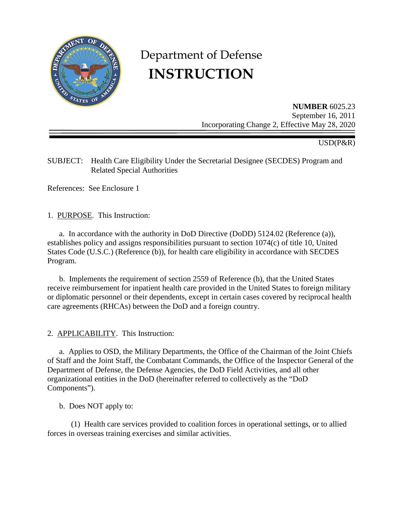

# Department of Defense **INSTRUCTION**

**NUMBER** 6025.23 September 16, 2011 Incorporating Change 2, Effective May 28, 2020

# USD(P&R)

SUBJECT: Health Care Eligibility Under the Secretarial Designee (SECDES) Program and Related Special Authorities

References: See Enclosure 1

1. PURPOSE. This Instruction:

a. In accordance with the authority in DoD Directive (DoDD) 5124.02 (Reference (a)), establishes policy and assigns responsibilities pursuant to section 1074(c) of title 10, United States Code (U.S.C.) (Reference (b)), for health care eligibility in accordance with SECDES Program.

b. Implements the requirement of section 2559 of Reference (b), that the United States receive reimbursement for inpatient health care provided in the United States to foreign military or diplomatic personnel or their dependents, except in certain cases covered by reciprocal health care agreements (RHCAs) between the DoD and a foreign country.

2. APPLICABILITY. This Instruction:

a. Applies to OSD, the Military Departments, the Office of the Chairman of the Joint Chiefs of Staff and the Joint Staff, the Combatant Commands, the Office of the Inspector General of the Department of Defense, the Defense Agencies, the DoD Field Activities, and all other organizational entities in the DoD (hereinafter referred to collectively as the "DoD Components").

b. Does NOT apply to:

(1) Health care services provided to coalition forces in operational settings, or to allied forces in overseas training exercises and similar activities.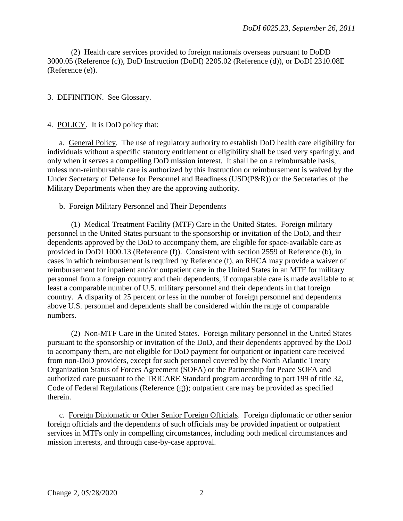(2) Health care services provided to foreign nationals overseas pursuant to DoDD 3000.05 (Reference (c)), DoD Instruction (DoDI) 2205.02 (Reference (d)), or DoDI 2310.08E (Reference (e)).

### 3. DEFINITION. See Glossary.

#### 4. POLICY. It is DoD policy that:

a. General Policy. The use of regulatory authority to establish DoD health care eligibility for individuals without a specific statutory entitlement or eligibility shall be used very sparingly, and only when it serves a compelling DoD mission interest. It shall be on a reimbursable basis, unless non-reimbursable care is authorized by this Instruction or reimbursement is waived by the Under Secretary of Defense for Personnel and Readiness (USD(P&R)) or the Secretaries of the Military Departments when they are the approving authority.

#### b. Foreign Military Personnel and Their Dependents

(1) Medical Treatment Facility (MTF) Care in the United States. Foreign military personnel in the United States pursuant to the sponsorship or invitation of the DoD, and their dependents approved by the DoD to accompany them, are eligible for space-available care as provided in DoDI 1000.13 (Reference (f)). Consistent with section 2559 of Reference (b), in cases in which reimbursement is required by Reference (f), an RHCA may provide a waiver of reimbursement for inpatient and/or outpatient care in the United States in an MTF for military personnel from a foreign country and their dependents, if comparable care is made available to at least a comparable number of U.S. military personnel and their dependents in that foreign country. A disparity of 25 percent or less in the number of foreign personnel and dependents above U.S. personnel and dependents shall be considered within the range of comparable numbers.

(2) Non-MTF Care in the United States. Foreign military personnel in the United States pursuant to the sponsorship or invitation of the DoD, and their dependents approved by the DoD to accompany them, are not eligible for DoD payment for outpatient or inpatient care received from non-DoD providers, except for such personnel covered by the North Atlantic Treaty Organization Status of Forces Agreement (SOFA) or the Partnership for Peace SOFA and authorized care pursuant to the TRICARE Standard program according to part 199 of title 32, Code of Federal Regulations (Reference (g)); outpatient care may be provided as specified therein.

c. Foreign Diplomatic or Other Senior Foreign Officials. Foreign diplomatic or other senior foreign officials and the dependents of such officials may be provided inpatient or outpatient services in MTFs only in compelling circumstances, including both medical circumstances and mission interests, and through case-by-case approval.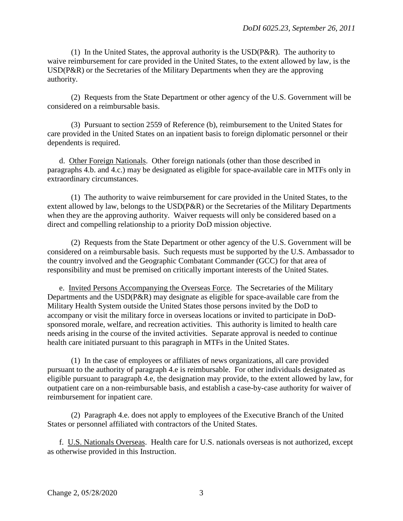(1) In the United States, the approval authority is the  $\text{USD}(P\&R)$ . The authority to waive reimbursement for care provided in the United States, to the extent allowed by law, is the USD(P&R) or the Secretaries of the Military Departments when they are the approving authority.

(2) Requests from the State Department or other agency of the U.S. Government will be considered on a reimbursable basis.

(3) Pursuant to section 2559 of Reference (b), reimbursement to the United States for care provided in the United States on an inpatient basis to foreign diplomatic personnel or their dependents is required.

d. Other Foreign Nationals. Other foreign nationals (other than those described in paragraphs 4.b. and 4.c.) may be designated as eligible for space-available care in MTFs only in extraordinary circumstances.

(1) The authority to waive reimbursement for care provided in the United States, to the extent allowed by law, belongs to the USD(P&R) or the Secretaries of the Military Departments when they are the approving authority. Waiver requests will only be considered based on a direct and compelling relationship to a priority DoD mission objective.

(2) Requests from the State Department or other agency of the U.S. Government will be considered on a reimbursable basis. Such requests must be supported by the U.S. Ambassador to the country involved and the Geographic Combatant Commander (GCC) for that area of responsibility and must be premised on critically important interests of the United States.

e. Invited Persons Accompanying the Overseas Force. The Secretaries of the Military Departments and the USD(P&R) may designate as eligible for space-available care from the Military Health System outside the United States those persons invited by the DoD to accompany or visit the military force in overseas locations or invited to participate in DoDsponsored morale, welfare, and recreation activities. This authority is limited to health care needs arising in the course of the invited activities. Separate approval is needed to continue health care initiated pursuant to this paragraph in MTFs in the United States.

(1) In the case of employees or affiliates of news organizations, all care provided pursuant to the authority of paragraph 4.e is reimbursable. For other individuals designated as eligible pursuant to paragraph 4.e, the designation may provide, to the extent allowed by law, for outpatient care on a non-reimbursable basis, and establish a case-by-case authority for waiver of reimbursement for inpatient care.

(2) Paragraph 4.e. does not apply to employees of the Executive Branch of the United States or personnel affiliated with contractors of the United States.

f. U.S. Nationals Overseas. Health care for U.S. nationals overseas is not authorized, except as otherwise provided in this Instruction.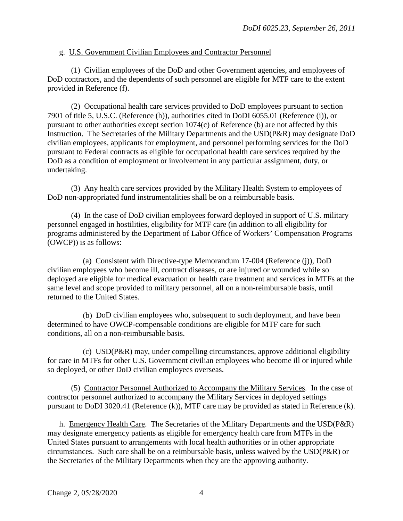#### g. U.S. Government Civilian Employees and Contractor Personnel

(1) Civilian employees of the DoD and other Government agencies, and employees of DoD contractors, and the dependents of such personnel are eligible for MTF care to the extent provided in Reference (f).

(2) Occupational health care services provided to DoD employees pursuant to section 7901 of title 5, U.S.C. (Reference (h)), authorities cited in DoDI 6055.01 (Reference (i)), or pursuant to other authorities except section 1074(c) of Reference (b) are not affected by this Instruction. The Secretaries of the Military Departments and the USD(P&R) may designate DoD civilian employees, applicants for employment, and personnel performing services for the DoD pursuant to Federal contracts as eligible for occupational health care services required by the DoD as a condition of employment or involvement in any particular assignment, duty, or undertaking.

(3) Any health care services provided by the Military Health System to employees of DoD non-appropriated fund instrumentalities shall be on a reimbursable basis.

(4) In the case of DoD civilian employees forward deployed in support of U.S. military personnel engaged in hostilities, eligibility for MTF care (in addition to all eligibility for programs administered by the Department of Labor Office of Workers' Compensation Programs (OWCP)) is as follows:

(a) Consistent with Directive-type Memorandum 17-004 (Reference (j)), DoD civilian employees who become ill, contract diseases, or are injured or wounded while so deployed are eligible for medical evacuation or health care treatment and services in MTFs at the same level and scope provided to military personnel, all on a non-reimbursable basis, until returned to the United States.

(b) DoD civilian employees who, subsequent to such deployment, and have been determined to have OWCP-compensable conditions are eligible for MTF care for such conditions, all on a non-reimbursable basis.

(c) USD(P&R) may, under compelling circumstances, approve additional eligibility for care in MTFs for other U.S. Government civilian employees who become ill or injured while so deployed, or other DoD civilian employees overseas.

(5) Contractor Personnel Authorized to Accompany the Military Services. In the case of contractor personnel authorized to accompany the Military Services in deployed settings pursuant to DoDI 3020.41 (Reference (k)), MTF care may be provided as stated in Reference (k).

h. Emergency Health Care. The Secretaries of the Military Departments and the USD(P&R) may designate emergency patients as eligible for emergency health care from MTFs in the United States pursuant to arrangements with local health authorities or in other appropriate circumstances. Such care shall be on a reimbursable basis, unless waived by the USD(P&R) or the Secretaries of the Military Departments when they are the approving authority.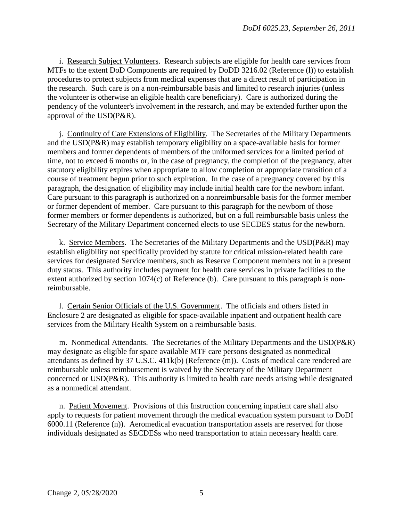i. Research Subject Volunteers. Research subjects are eligible for health care services from MTFs to the extent DoD Components are required by DoDD 3216.02 (Reference (1)) to establish procedures to protect subjects from medical expenses that are a direct result of participation in the research. Such care is on a non-reimbursable basis and limited to research injuries (unless the volunteer is otherwise an eligible health care beneficiary). Care is authorized during the pendency of the volunteer's involvement in the research, and may be extended further upon the approval of the USD(P&R).

j. Continuity of Care Extensions of Eligibility. The Secretaries of the Military Departments and the USD(P&R) may establish temporary eligibility on a space-available basis for former members and former dependents of members of the uniformed services for a limited period of time, not to exceed 6 months or, in the case of pregnancy, the completion of the pregnancy, after statutory eligibility expires when appropriate to allow completion or appropriate transition of a course of treatment begun prior to such expiration. In the case of a pregnancy covered by this paragraph, the designation of eligibility may include initial health care for the newborn infant. Care pursuant to this paragraph is authorized on a nonreimbursable basis for the former member or former dependent of member. Care pursuant to this paragraph for the newborn of those former members or former dependents is authorized, but on a full reimbursable basis unless the Secretary of the Military Department concerned elects to use SECDES status for the newborn.

k. Service Members. The Secretaries of the Military Departments and the USD(P&R) may establish eligibility not specifically provided by statute for critical mission-related health care services for designated Service members, such as Reserve Component members not in a present duty status. This authority includes payment for health care services in private facilities to the extent authorized by section 1074(c) of Reference (b). Care pursuant to this paragraph is nonreimbursable.

l. Certain Senior Officials of the U.S. Government. The officials and others listed in Enclosure 2 are designated as eligible for space-available inpatient and outpatient health care services from the Military Health System on a reimbursable basis.

m. Nonmedical Attendants. The Secretaries of the Military Departments and the USD(P&R) may designate as eligible for space available MTF care persons designated as nonmedical attendants as defined by 37 U.S.C. 411k(b) (Reference (m)). Costs of medical care rendered are reimbursable unless reimbursement is waived by the Secretary of the Military Department concerned or USD(P&R). This authority is limited to health care needs arising while designated as a nonmedical attendant.

n. Patient Movement. Provisions of this Instruction concerning inpatient care shall also apply to requests for patient movement through the medical evacuation system pursuant to DoDI 6000.11 (Reference (n)). Aeromedical evacuation transportation assets are reserved for those individuals designated as SECDESs who need transportation to attain necessary health care.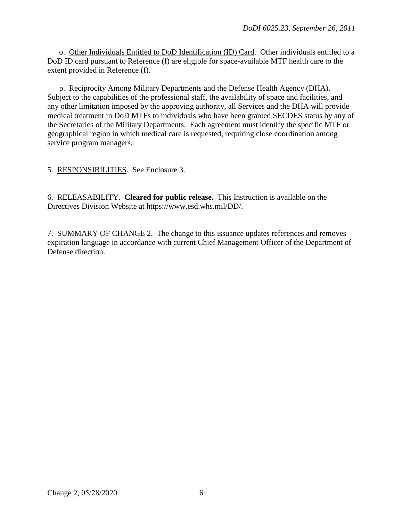o. Other Individuals Entitled to DoD Identification (ID) Card. Other individuals entitled to a DoD ID card pursuant to Reference (f) are eligible for space-available MTF health care to the extent provided in Reference (f).

p. Reciprocity Among Military Departments and the Defense Health Agency (DHA). Subject to the capabilities of the professional staff, the availability of space and facilities, and any other limitation imposed by the approving authority, all Services and the DHA will provide medical treatment in DoD MTFs to individuals who have been granted SECDES status by any of the Secretaries of the Military Departments. Each agreement must identify the specific MTF or geographical region in which medical care is requested, requiring close coordination among service program managers.

5. RESPONSIBILITIES. See Enclosure 3.

6. RELEASABILITY. **Cleared for public release.** This Instruction is available on the Directives Division Website at https://www.esd.whs.mil/DD/.

7. SUMMARY OF CHANGE 2. The change to this issuance updates references and removes expiration language in accordance with current Chief Management Officer of the Department of Defense direction.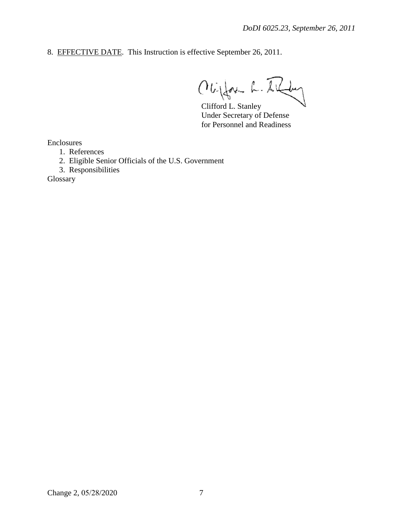8. EFFECTIVE DATE. This Instruction is effective September 26, 2011.

Obifor L. Il  $\overline{\mathcal{L}}$ 

Clifford L. Stanley Under Secretary of Defense for Personnel and Readiness

Enclosures

- 1. References
- 2. Eligible Senior Officials of the U.S. Government
- 3. Responsibilities

Glossary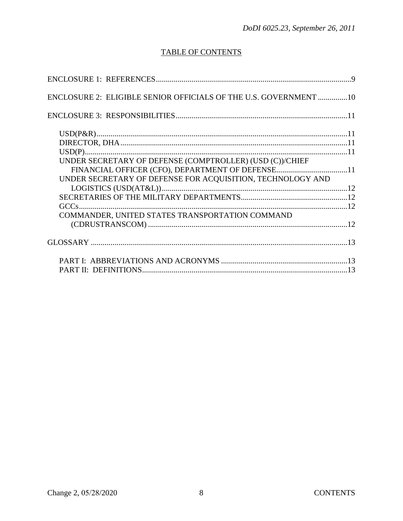# TABLE OF CONTENTS

| ENCLOSURE 2: ELIGIBLE SENIOR OFFICIALS OF THE U.S. GOVERNMENT 10 |  |
|------------------------------------------------------------------|--|
|                                                                  |  |
|                                                                  |  |
|                                                                  |  |
|                                                                  |  |
| UNDER SECRETARY OF DEFENSE (COMPTROLLER) (USD (C))/CHIEF         |  |
|                                                                  |  |
| UNDER SECRETARY OF DEFENSE FOR ACQUISITION, TECHNOLOGY AND       |  |
|                                                                  |  |
|                                                                  |  |
|                                                                  |  |
| COMMANDER, UNITED STATES TRANSPORTATION COMMAND                  |  |
|                                                                  |  |
|                                                                  |  |
|                                                                  |  |
|                                                                  |  |
|                                                                  |  |
|                                                                  |  |
|                                                                  |  |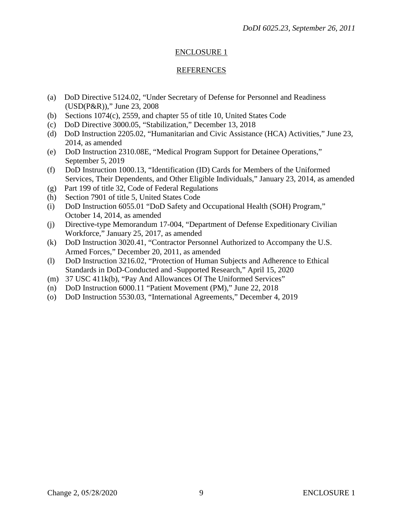### ENCLOSURE 1

#### REFERENCES

- (a) DoD Directive 5124.02, "Under Secretary of Defense for Personnel and Readiness (USD(P&R))," June 23, 2008
- (b) Sections 1074(c), 2559, and chapter 55 of title 10, United States Code
- (c) DoD Directive 3000.05, "Stabilization," December 13, 2018
- (d) DoD Instruction 2205.02, "Humanitarian and Civic Assistance (HCA) Activities," June 23, 2014, as amended
- (e) DoD Instruction 2310.08E, "Medical Program Support for Detainee Operations," September 5, 2019
- (f) DoD Instruction 1000.13, "Identification (ID) Cards for Members of the Uniformed Services, Their Dependents, and Other Eligible Individuals," January 23, 2014, as amended
- (g) Part 199 of title 32, Code of Federal Regulations
- (h) Section 7901 of title 5, United States Code
- (i) DoD Instruction 6055.01 "DoD Safety and Occupational Health (SOH) Program," October 14, 2014, as amended
- (j) Directive-type Memorandum 17-004, "Department of Defense Expeditionary Civilian Workforce," January 25, 2017, as amended
- (k) DoD Instruction 3020.41, "Contractor Personnel Authorized to Accompany the U.S. Armed Forces," December 20, 2011, as amended
- (l) DoD Instruction 3216.02, "Protection of Human Subjects and Adherence to Ethical Standards in DoD-Conducted and -Supported Research," April 15, 2020
- (m) 37 USC 411k(b), "Pay And Allowances Of The Uniformed Services"
- (n) DoD Instruction 6000.11 "Patient Movement (PM)," June 22, 2018
- (o) DoD Instruction 5530.03, "International Agreements," December 4, 2019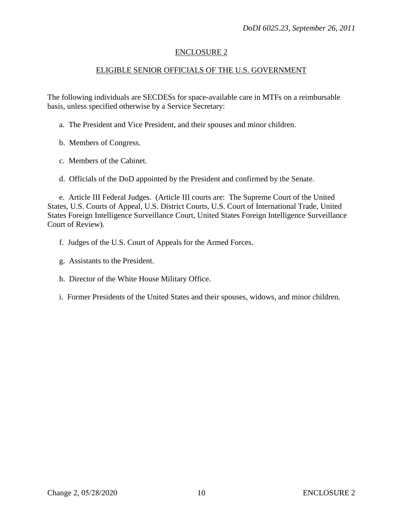#### ENCLOSURE 2

### ELIGIBLE SENIOR OFFICIALS OF THE U.S. GOVERNMENT

The following individuals are SECDESs for space-available care in MTFs on a reimbursable basis, unless specified otherwise by a Service Secretary:

- a. The President and Vice President, and their spouses and minor children.
- b. Members of Congress.
- c. Members of the Cabinet.
- d. Officials of the DoD appointed by the President and confirmed by the Senate.

e. Article III Federal Judges. (Article III courts are: The Supreme Court of the United States, U.S. Courts of Appeal, U.S. District Courts, U.S. Court of International Trade, United States Foreign Intelligence Surveillance Court, United States Foreign Intelligence Surveillance Court of Review).

- f. Judges of the U.S. Court of Appeals for the Armed Forces.
- g. Assistants to the President.
- h. Director of the White House Military Office.
- i. Former Presidents of the United States and their spouses, widows, and minor children.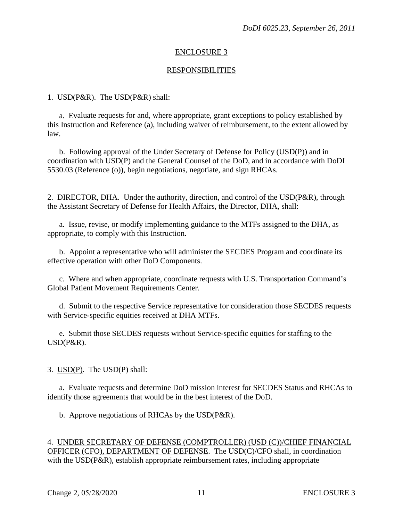#### ENCLOSURE 3

#### RESPONSIBILITIES

1. USD(P&R). The USD(P&R) shall:

a. Evaluate requests for and, where appropriate, grant exceptions to policy established by this Instruction and Reference (a), including waiver of reimbursement, to the extent allowed by law.

b. Following approval of the Under Secretary of Defense for Policy (USD(P)) and in coordination with USD(P) and the General Counsel of the DoD, and in accordance with DoDI 5530.03 (Reference (o)), begin negotiations, negotiate, and sign RHCAs.

2. DIRECTOR, DHA. Under the authority, direction, and control of the USD(P&R), through the Assistant Secretary of Defense for Health Affairs, the Director, DHA, shall:

a. Issue, revise, or modify implementing guidance to the MTFs assigned to the DHA, as appropriate, to comply with this Instruction.

b. Appoint a representative who will administer the SECDES Program and coordinate its effective operation with other DoD Components.

c. Where and when appropriate, coordinate requests with U.S. Transportation Command's Global Patient Movement Requirements Center.

d. Submit to the respective Service representative for consideration those SECDES requests with Service-specific equities received at DHA MTFs.

e. Submit those SECDES requests without Service-specific equities for staffing to the USD(P&R).

3. USD(P). The USD(P) shall:

a. Evaluate requests and determine DoD mission interest for SECDES Status and RHCAs to identify those agreements that would be in the best interest of the DoD.

b. Approve negotiations of RHCAs by the USD(P&R).

4. UNDER SECRETARY OF DEFENSE (COMPTROLLER) (USD (C))/CHIEF FINANCIAL OFFICER (CFO), DEPARTMENT OF DEFENSE. The USD(C)/CFO shall, in coordination with the USD(P&R), establish appropriate reimbursement rates, including appropriate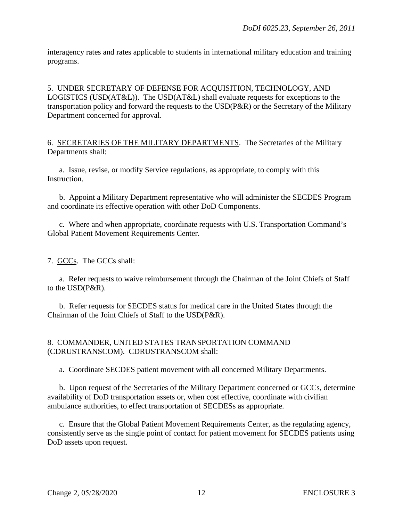interagency rates and rates applicable to students in international military education and training programs.

5. UNDER SECRETARY OF DEFENSE FOR ACQUISITION, TECHNOLOGY, AND LOGISTICS (USD(AT&L)). The USD(AT&L) shall evaluate requests for exceptions to the transportation policy and forward the requests to the USD(P&R) or the Secretary of the Military Department concerned for approval.

6. SECRETARIES OF THE MILITARY DEPARTMENTS. The Secretaries of the Military Departments shall:

a. Issue, revise, or modify Service regulations, as appropriate, to comply with this Instruction.

b. Appoint a Military Department representative who will administer the SECDES Program and coordinate its effective operation with other DoD Components.

c. Where and when appropriate, coordinate requests with U.S. Transportation Command's Global Patient Movement Requirements Center.

7. GCCs. The GCCs shall:

a. Refer requests to waive reimbursement through the Chairman of the Joint Chiefs of Staff to the USD(P&R).

b. Refer requests for SECDES status for medical care in the United States through the Chairman of the Joint Chiefs of Staff to the USD(P&R).

#### 8. COMMANDER, UNITED STATES TRANSPORTATION COMMAND (CDRUSTRANSCOM). CDRUSTRANSCOM shall:

a. Coordinate SECDES patient movement with all concerned Military Departments.

b. Upon request of the Secretaries of the Military Department concerned or GCCs, determine availability of DoD transportation assets or, when cost effective, coordinate with civilian ambulance authorities, to effect transportation of SECDESs as appropriate.

c. Ensure that the Global Patient Movement Requirements Center, as the regulating agency, consistently serve as the single point of contact for patient movement for SECDES patients using DoD assets upon request.